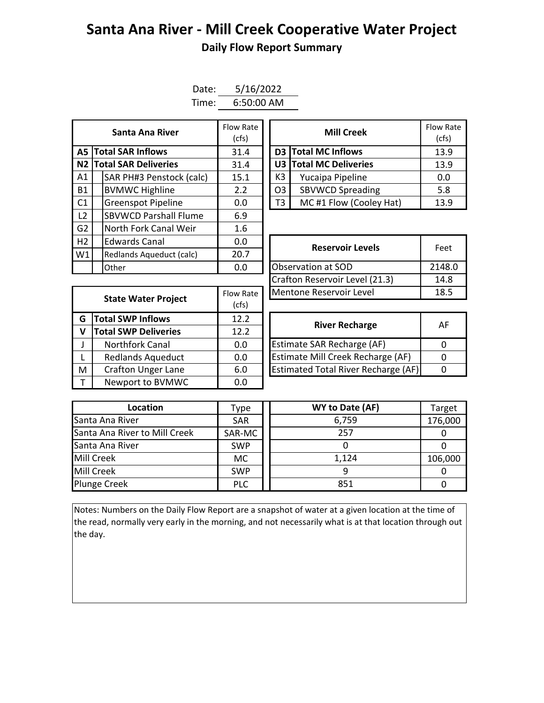## **Santa Ana River - Mill Creek Cooperative Water Project Daily Flow Report Summary**

| Date: | 5/16/2022  |  |  |  |  |  |
|-------|------------|--|--|--|--|--|
| Time: | 6:50:00 AM |  |  |  |  |  |

| Santa Ana River |  | Flow Rate<br>(cfs)           | <b>Mill Creek</b> |                    |                | Flow Ra<br>(cfs)           |      |
|-----------------|--|------------------------------|-------------------|--------------------|----------------|----------------------------|------|
|                 |  | <b>A5 Total SAR Inflows</b>  | 31.4              |                    |                | <b>D3</b> Total MC Inflows | 13.9 |
|                 |  | N2 Total SAR Deliveries      | 31.4              |                    |                | U3 Total MC Deliveries     | 13.9 |
| A1              |  | SAR PH#3 Penstock (calc)     | 15.1              |                    | K3             | Yucaipa Pipeline           | 0.0  |
| <b>B1</b>       |  | <b>BVMWC Highline</b>        | 2.2               |                    | O <sub>3</sub> | <b>SBVWCD Spreading</b>    | 5.8  |
| C <sub>1</sub>  |  | <b>Greenspot Pipeline</b>    | 0.0               |                    | T3             | MC#1 Flow (Cooley Hat)     | 13.9 |
| L <sub>2</sub>  |  | <b>SBVWCD Parshall Flume</b> | 6.9               |                    |                |                            |      |
| G <sub>2</sub>  |  | North Fork Canal Weir        | 1.6               |                    |                |                            |      |
| H2              |  | <b>Edwards Canal</b>         | 0.0               |                    |                | <b>Reservoir Levels</b>    | Feet |
| W1              |  | Redlands Aqueduct (calc)     | 20.7              |                    |                |                            |      |
|                 |  | Other                        | 0.0               | Observation at SOD |                | 2148.                      |      |

| Santa Ana River         | Flow Rate<br>(cfs) |                              | Flow Rate<br>(cfs)      |      |  |
|-------------------------|--------------------|------------------------------|-------------------------|------|--|
| <b>I SAR Inflows</b>    | 31.4               |                              | D3 Total MC Inflows     |      |  |
| <b>I SAR Deliveries</b> | 31.4               | U3 Total MC Deliveries       |                         | 13.9 |  |
| AR PH#3 Penstock (calc) | 15.1               | K3                           | Yucaipa Pipeline        | 0.0  |  |
| /MWC Highline           | 2.2                | O <sub>3</sub>               | <b>SBVWCD Spreading</b> | 5.8  |  |
| reenspot Pipeline       | 0.0                | MC#1 Flow (Cooley Hat)<br>T3 |                         | 13.9 |  |

|              | וטעווכו                     | v.v       | ODJEI VALIONI AL JUD                       |          |  |  |  |  |  |
|--------------|-----------------------------|-----------|--------------------------------------------|----------|--|--|--|--|--|
|              |                             |           | Crafton Reservoir Level (21.3)             | 14       |  |  |  |  |  |
|              | <b>State Water Project</b>  | Flow Rate | Mentone Reservoir Level                    |          |  |  |  |  |  |
|              |                             | (cfs)     |                                            |          |  |  |  |  |  |
| G            | Total SWP Inflows           | 12.2      | <b>River Recharge</b>                      | A        |  |  |  |  |  |
| $\mathsf{V}$ | <b>Total SWP Deliveries</b> | 12.2      |                                            |          |  |  |  |  |  |
| $\mathsf{J}$ | Northfork Canal             | 0.0       | <b>Estimate SAR Recharge (AF)</b>          | 0        |  |  |  |  |  |
| $\mathsf{L}$ | <b>Redlands Aqueduct</b>    | 0.0       | Estimate Mill Creek Recharge (AF)          | $\Omega$ |  |  |  |  |  |
| M            | <b>Crafton Unger Lane</b>   | 6.0       | <b>Estimated Total River Recharge (AF)</b> | $\Omega$ |  |  |  |  |  |
| T.           | Newport to BVMWC            | 0.0       |                                            |          |  |  |  |  |  |

| Edwards Canal<br>0.0       |             | <b>Reservoir Levels</b>        | Feet   |  |
|----------------------------|-------------|--------------------------------|--------|--|
| Redlands Aqueduct (calc)   | 20.7        |                                |        |  |
| Other                      | 0.0         | Observation at SOD             | 2148.0 |  |
|                            |             | Crafton Reservoir Level (21.3) | 14.8   |  |
|                            | Flow Rate   | Mentone Reservoir Level        | 18.5   |  |
| <b>State Water Project</b> | $1 - 1 - 1$ |                                |        |  |

| <b>River Recharge</b>                      | AF |
|--------------------------------------------|----|
| <b>Estimate SAR Recharge (AF)</b>          |    |
| Estimate Mill Creek Recharge (AF)          |    |
| <b>Estimated Total River Recharge (AF)</b> |    |

| Location                      | Type       | WY to Date (AF) | Target  |
|-------------------------------|------------|-----------------|---------|
| Santa Ana River               | <b>SAR</b> | 6,759           | 176,000 |
| Santa Ana River to Mill Creek | SAR-MC     | 257             |         |
| Santa Ana River               | <b>SWP</b> |                 |         |
| Mill Creek                    | МC         | 1,124           | 106,000 |
| Mill Creek                    | <b>SWP</b> |                 |         |
| <b>Plunge Creek</b>           | <b>PLC</b> | 851             |         |

Notes: Numbers on the Daily Flow Report are a snapshot of water at a given location at the time of the read, normally very early in the morning, and not necessarily what is at that location through out the day.